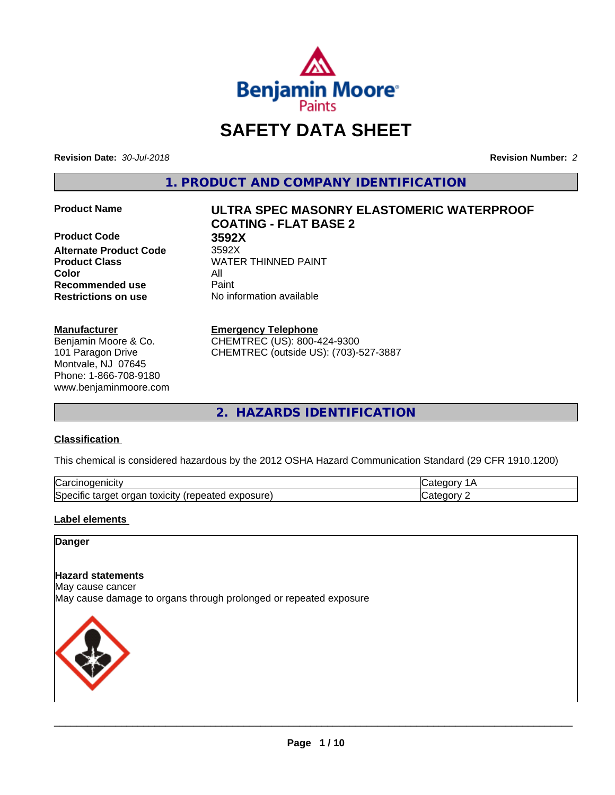

# **SAFETY DATA SHEET**

**Revision Date:** *30-Jul-2018* **Revision Number:** *2*

**1. PRODUCT AND COMPANY IDENTIFICATION**

**Product Code 3592X Alternate Product Code** 3592X **Product Class WATER THINNED PAINT Color** All **Recommended use** Paint **Restrictions on use** No information available

# **Manufacturer**

Benjamin Moore & Co. 101 Paragon Drive Montvale, NJ 07645 Phone: 1-866-708-9180 www.benjaminmoore.com

# **Product Name ULTRA SPEC MASONRY ELASTOMERIC WATERPROOF COATING - FLAT BASE 2**

# **Emergency Telephone**

CHEMTREC (US): 800-424-9300 CHEMTREC (outside US): (703)-527-3887

**2. HAZARDS IDENTIFICATION**

# **Classification**

This chemical is considered hazardous by the 2012 OSHA Hazard Communication Standard (29 CFR 1910.1200)

| ∽<br>-----<br>∪ar<br>нсн<br>                                                              |  |
|-------------------------------------------------------------------------------------------|--|
| osure<br>.<br>toxicity<br>50er<br>orgar<br>arner -<br>$\cdots$<br>.<br>ши<br>59160<br>ᇢᅀᄓ |  |

# **Label elements**

# **Danger**

# **Hazard statements**

May cause cancer

May cause damage to organs through prolonged or repeated exposure

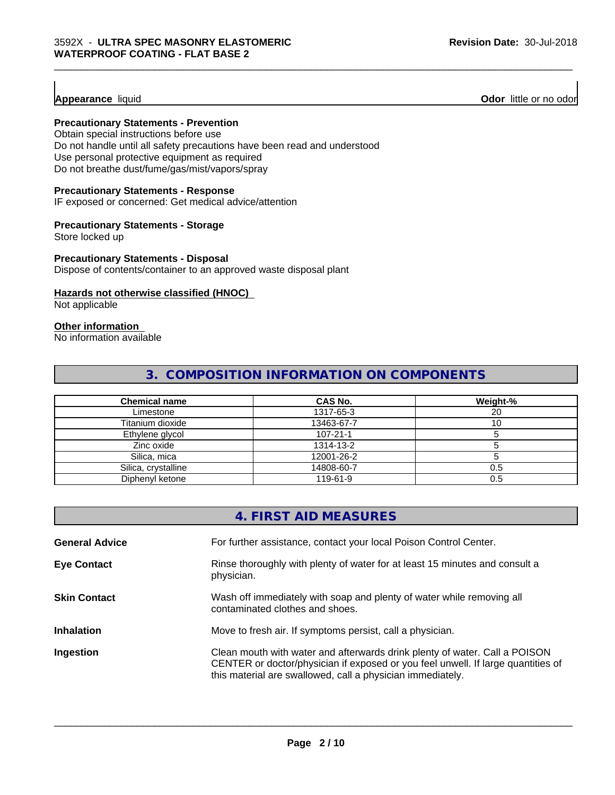**Appearance** liquid **Odor 11** Odor little or no odor

# **Precautionary Statements - Prevention**

Obtain special instructions before use Do not handle until all safety precautions have been read and understood Use personal protective equipment as required Do not breathe dust/fume/gas/mist/vapors/spray

# **Precautionary Statements - Response**

IF exposed or concerned: Get medical advice/attention

## **Precautionary Statements - Storage**

Store locked up

# **Precautionary Statements - Disposal**

Dispose of contents/container to an approved waste disposal plant

# **Hazards not otherwise classified (HNOC)**

Not applicable

# **Other information**

No information available

# **3. COMPOSITION INFORMATION ON COMPONENTS**

\_\_\_\_\_\_\_\_\_\_\_\_\_\_\_\_\_\_\_\_\_\_\_\_\_\_\_\_\_\_\_\_\_\_\_\_\_\_\_\_\_\_\_\_\_\_\_\_\_\_\_\_\_\_\_\_\_\_\_\_\_\_\_\_\_\_\_\_\_\_\_\_\_\_\_\_\_\_\_\_\_\_\_\_\_\_\_\_\_\_\_\_\_

| <b>Chemical name</b> | CAS No.        | Weight-% |
|----------------------|----------------|----------|
| Limestone            | 1317-65-3      | 20       |
| Titanium dioxide     | 13463-67-7     |          |
| Ethylene glycol      | $107 - 21 - 1$ |          |
| Zinc oxide           | 1314-13-2      |          |
| Silica, mica         | 12001-26-2     |          |
| Silica, crystalline  | 14808-60-7     | 0.5      |
| Diphenyl ketone      | 119-61-9       | 0.5      |

|                       | 4. FIRST AID MEASURES                                                                                                                                                                                                        |
|-----------------------|------------------------------------------------------------------------------------------------------------------------------------------------------------------------------------------------------------------------------|
| <b>General Advice</b> | For further assistance, contact your local Poison Control Center.                                                                                                                                                            |
| <b>Eye Contact</b>    | Rinse thoroughly with plenty of water for at least 15 minutes and consult a<br>physician.                                                                                                                                    |
| <b>Skin Contact</b>   | Wash off immediately with soap and plenty of water while removing all<br>contaminated clothes and shoes.                                                                                                                     |
| <b>Inhalation</b>     | Move to fresh air. If symptoms persist, call a physician.                                                                                                                                                                    |
| Ingestion             | Clean mouth with water and afterwards drink plenty of water. Call a POISON<br>CENTER or doctor/physician if exposed or you feel unwell. If large quantities of<br>this material are swallowed, call a physician immediately. |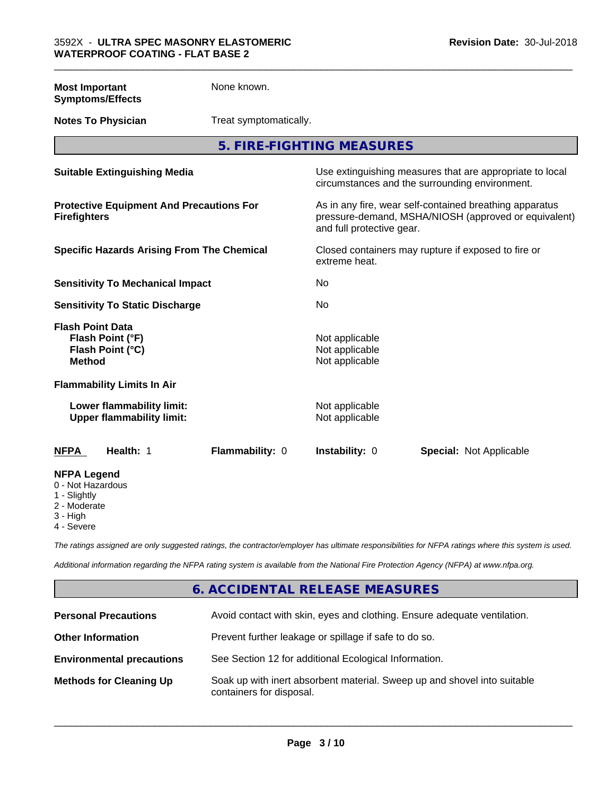| <b>Most Important</b><br><b>Symptoms/Effects</b>                                 | None known.            |                                                                                                                                              |                                                                                                            |
|----------------------------------------------------------------------------------|------------------------|----------------------------------------------------------------------------------------------------------------------------------------------|------------------------------------------------------------------------------------------------------------|
| <b>Notes To Physician</b>                                                        | Treat symptomatically. |                                                                                                                                              |                                                                                                            |
|                                                                                  |                        | 5. FIRE-FIGHTING MEASURES                                                                                                                    |                                                                                                            |
| <b>Suitable Extinguishing Media</b>                                              |                        |                                                                                                                                              | Use extinguishing measures that are appropriate to local<br>circumstances and the surrounding environment. |
| <b>Protective Equipment And Precautions For</b><br><b>Firefighters</b>           |                        | As in any fire, wear self-contained breathing apparatus<br>pressure-demand, MSHA/NIOSH (approved or equivalent)<br>and full protective gear. |                                                                                                            |
| <b>Specific Hazards Arising From The Chemical</b>                                |                        | Closed containers may rupture if exposed to fire or<br>extreme heat.                                                                         |                                                                                                            |
| <b>Sensitivity To Mechanical Impact</b>                                          |                        | <b>No</b>                                                                                                                                    |                                                                                                            |
| <b>Sensitivity To Static Discharge</b>                                           |                        | No                                                                                                                                           |                                                                                                            |
| <b>Flash Point Data</b><br>Flash Point (°F)<br>Flash Point (°C)<br><b>Method</b> |                        | Not applicable<br>Not applicable<br>Not applicable                                                                                           |                                                                                                            |
| <b>Flammability Limits In Air</b>                                                |                        |                                                                                                                                              |                                                                                                            |
| Lower flammability limit:<br><b>Upper flammability limit:</b>                    |                        | Not applicable<br>Not applicable                                                                                                             |                                                                                                            |
| <b>NFPA</b><br>Health: 1                                                         | Flammability: 0        | Instability: 0                                                                                                                               | <b>Special: Not Applicable</b>                                                                             |
| <b>NFPA Legend</b><br>0 - Not Hazardous<br>1 - Slightly<br>2 - Moderate          |                        |                                                                                                                                              |                                                                                                            |

\_\_\_\_\_\_\_\_\_\_\_\_\_\_\_\_\_\_\_\_\_\_\_\_\_\_\_\_\_\_\_\_\_\_\_\_\_\_\_\_\_\_\_\_\_\_\_\_\_\_\_\_\_\_\_\_\_\_\_\_\_\_\_\_\_\_\_\_\_\_\_\_\_\_\_\_\_\_\_\_\_\_\_\_\_\_\_\_\_\_\_\_\_

- 2 Moderate
- 3 High
- 4 Severe

*The ratings assigned are only suggested ratings, the contractor/employer has ultimate responsibilities for NFPA ratings where this system is used.*

*Additional information regarding the NFPA rating system is available from the National Fire Protection Agency (NFPA) at www.nfpa.org.*

# **6. ACCIDENTAL RELEASE MEASURES**

| <b>Personal Precautions</b>      | Avoid contact with skin, eyes and clothing. Ensure adequate ventilation.                             |
|----------------------------------|------------------------------------------------------------------------------------------------------|
| <b>Other Information</b>         | Prevent further leakage or spillage if safe to do so.                                                |
| <b>Environmental precautions</b> | See Section 12 for additional Ecological Information.                                                |
| <b>Methods for Cleaning Up</b>   | Soak up with inert absorbent material. Sweep up and shovel into suitable<br>containers for disposal. |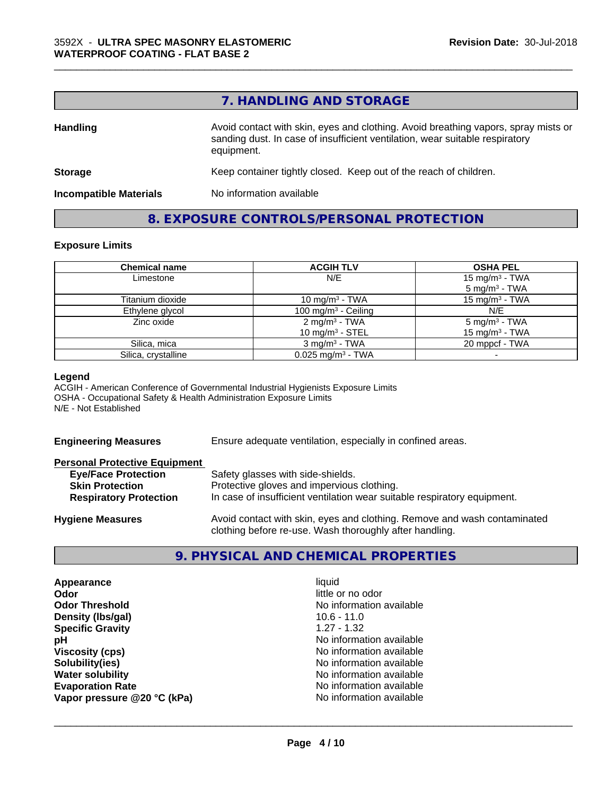# **7. HANDLING AND STORAGE**

\_\_\_\_\_\_\_\_\_\_\_\_\_\_\_\_\_\_\_\_\_\_\_\_\_\_\_\_\_\_\_\_\_\_\_\_\_\_\_\_\_\_\_\_\_\_\_\_\_\_\_\_\_\_\_\_\_\_\_\_\_\_\_\_\_\_\_\_\_\_\_\_\_\_\_\_\_\_\_\_\_\_\_\_\_\_\_\_\_\_\_\_\_

| <b>Handling</b>               | Avoid contact with skin, eyes and clothing. Avoid breathing vapors, spray mists or<br>sanding dust. In case of insufficient ventilation, wear suitable respiratory<br>equipment. |  |
|-------------------------------|----------------------------------------------------------------------------------------------------------------------------------------------------------------------------------|--|
| <b>Storage</b>                | Keep container tightly closed. Keep out of the reach of children.                                                                                                                |  |
| <b>Incompatible Materials</b> | No information available                                                                                                                                                         |  |

# **8. EXPOSURE CONTROLS/PERSONAL PROTECTION**

# **Exposure Limits**

| <b>Chemical name</b> | <b>ACGIH TLV</b>                                | <b>OSHA PEL</b>                                        |
|----------------------|-------------------------------------------------|--------------------------------------------------------|
| Limestone            | N/E                                             | 15 mg/m <sup>3</sup> - TWA<br>$5 \text{ mg/m}^3$ - TWA |
| Titanium dioxide     | 10 mg/m <sup>3</sup> - TWA                      | 15 mg/m $3$ - TWA                                      |
| Ethylene glycol      | 100 mg/m $3$ - Ceiling                          | N/E                                                    |
| Zinc oxide           | 2 mg/m <sup>3</sup> - TWA<br>10 mg/m $3$ - STEL | $5 \text{ mg/m}^3$ - TWA<br>15 mg/m $3$ - TWA          |
| Silica, mica         | $3 \text{ ma/m}^3$ - TWA                        | 20 mppcf - TWA                                         |
| Silica, crystalline  | $0.025$ mg/m <sup>3</sup> - TWA                 |                                                        |

## **Legend**

ACGIH - American Conference of Governmental Industrial Hygienists Exposure Limits OSHA - Occupational Safety & Health Administration Exposure Limits N/E - Not Established

**Engineering Measures** Ensure adequate ventilation, especially in confined areas.

| <b>Personal Protective Equipment</b> |                                                                                                                                     |
|--------------------------------------|-------------------------------------------------------------------------------------------------------------------------------------|
| <b>Eye/Face Protection</b>           | Safety glasses with side-shields.                                                                                                   |
| <b>Skin Protection</b>               | Protective gloves and impervious clothing.                                                                                          |
| <b>Respiratory Protection</b>        | In case of insufficient ventilation wear suitable respiratory equipment.                                                            |
| <b>Hygiene Measures</b>              | Avoid contact with skin, eyes and clothing. Remove and wash contaminated<br>clothing before re-use. Wash thoroughly after handling. |

**9. PHYSICAL AND CHEMICAL PROPERTIES**

| Appearance                  | liquid                   |
|-----------------------------|--------------------------|
| Odor                        | little or no odor        |
| <b>Odor Threshold</b>       | No information available |
| Density (Ibs/gal)           | $10.6 - 11.0$            |
| <b>Specific Gravity</b>     | $1.27 - 1.32$            |
| рH                          | No information available |
| <b>Viscosity (cps)</b>      | No information available |
| Solubility(ies)             | No information available |
| <b>Water solubility</b>     | No information available |
| <b>Evaporation Rate</b>     | No information available |
| Vapor pressure @20 °C (kPa) | No information available |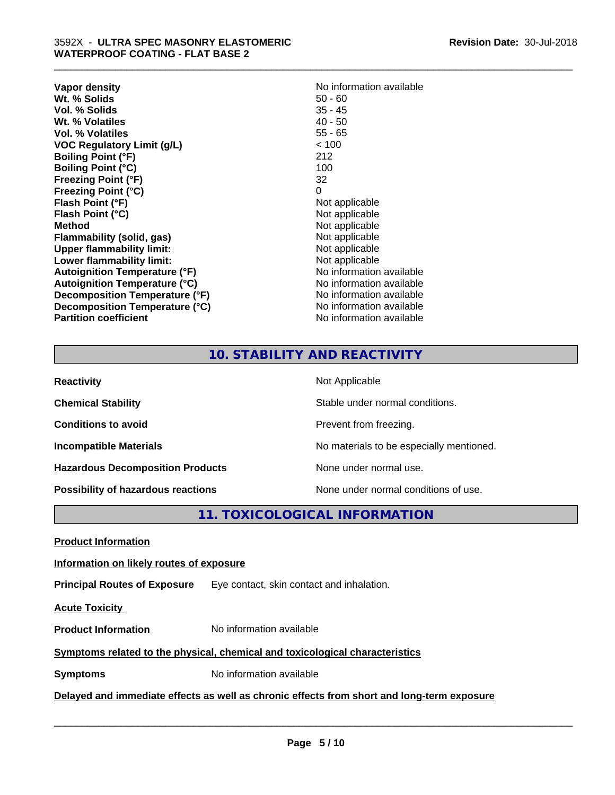| Vapor density                        | No information available |
|--------------------------------------|--------------------------|
| Wt. % Solids                         | $50 - 60$                |
| Vol. % Solids                        | $35 - 45$                |
| Wt. % Volatiles                      | $40 - 50$                |
| Vol. % Volatiles                     | $55 - 65$                |
| <b>VOC Regulatory Limit (g/L)</b>    | < 100                    |
| <b>Boiling Point (°F)</b>            | 212                      |
| <b>Boiling Point (°C)</b>            | 100                      |
| <b>Freezing Point (°F)</b>           | 32                       |
| <b>Freezing Point (°C)</b>           | 0                        |
| Flash Point (°F)                     | Not applicable           |
| Flash Point (°C)                     | Not applicable           |
| Method                               | Not applicable           |
| Flammability (solid, gas)            | Not applicable           |
| <b>Upper flammability limit:</b>     | Not applicable           |
| Lower flammability limit:            | Not applicable           |
| Autoignition Temperature (°F)        | No information available |
| <b>Autoignition Temperature (°C)</b> | No information available |
| Decomposition Temperature (°F)       | No information available |
| Decomposition Temperature (°C)       | No information available |
| <b>Partition coefficient</b>         | No information available |

\_\_\_\_\_\_\_\_\_\_\_\_\_\_\_\_\_\_\_\_\_\_\_\_\_\_\_\_\_\_\_\_\_\_\_\_\_\_\_\_\_\_\_\_\_\_\_\_\_\_\_\_\_\_\_\_\_\_\_\_\_\_\_\_\_\_\_\_\_\_\_\_\_\_\_\_\_\_\_\_\_\_\_\_\_\_\_\_\_\_\_\_\_

# **10. STABILITY AND REACTIVITY**

| <b>Reactivity</b>                         | Not Applicable                           |
|-------------------------------------------|------------------------------------------|
| <b>Chemical Stability</b>                 | Stable under normal conditions.          |
| <b>Conditions to avoid</b>                | Prevent from freezing.                   |
| <b>Incompatible Materials</b>             | No materials to be especially mentioned. |
| <b>Hazardous Decomposition Products</b>   | None under normal use.                   |
| <b>Possibility of hazardous reactions</b> | None under normal conditions of use.     |

**11. TOXICOLOGICAL INFORMATION**

**Product Information**

# **Information on likely routes of exposure**

**Principal Routes of Exposure** Eye contact, skin contact and inhalation.

**Acute Toxicity** 

**Product Information** No information available

# **Symptoms related to the physical,chemical and toxicological characteristics**

**Symptoms** No information available

**Delayed and immediate effects as well as chronic effects from short and long-term exposure**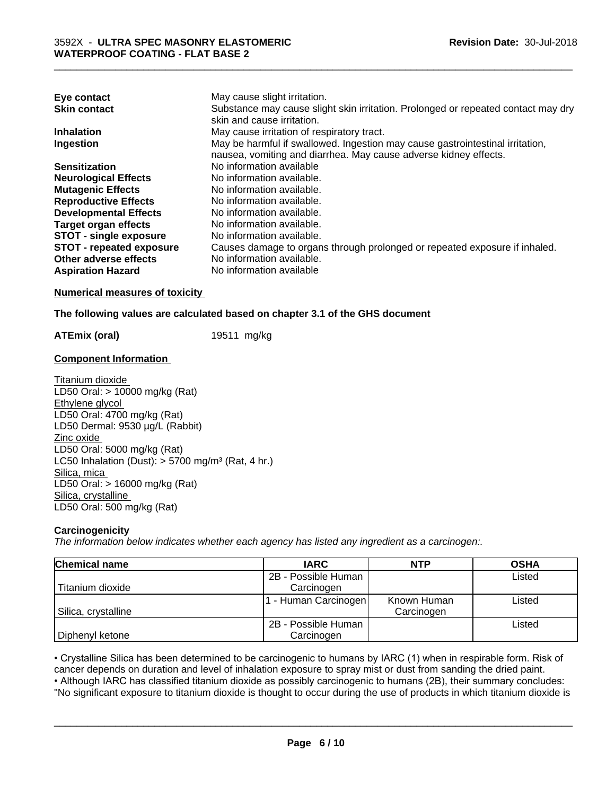| Eye contact                     | May cause slight irritation.                                                      |
|---------------------------------|-----------------------------------------------------------------------------------|
| <b>Skin contact</b>             | Substance may cause slight skin irritation. Prolonged or repeated contact may dry |
|                                 | skin and cause irritation.                                                        |
| <b>Inhalation</b>               | May cause irritation of respiratory tract.                                        |
| Ingestion                       | May be harmful if swallowed. Ingestion may cause gastrointestinal irritation,     |
|                                 | nausea, vomiting and diarrhea. May cause adverse kidney effects.                  |
| <b>Sensitization</b>            | No information available                                                          |
| <b>Neurological Effects</b>     | No information available.                                                         |
| <b>Mutagenic Effects</b>        | No information available.                                                         |
| <b>Reproductive Effects</b>     | No information available.                                                         |
| <b>Developmental Effects</b>    | No information available.                                                         |
| Target organ effects            | No information available.                                                         |
| <b>STOT - single exposure</b>   | No information available.                                                         |
| <b>STOT - repeated exposure</b> | Causes damage to organs through prolonged or repeated exposure if inhaled.        |
| Other adverse effects           | No information available.                                                         |
| <b>Aspiration Hazard</b>        | No information available                                                          |

**Numerical measures of toxicity**

# **The following values are calculated based on chapter 3.1 of the GHS document**

**ATEmix (oral)** 19511 mg/kg

# **Component Information**

Titanium dioxide LD50 Oral: > 10000 mg/kg (Rat) Ethylene glycol LD50 Oral: 4700 mg/kg (Rat) LD50 Dermal: 9530 µg/L (Rabbit) Zinc oxide LD50 Oral: 5000 mg/kg (Rat) LC50 Inhalation (Dust):  $> 5700$  mg/m<sup>3</sup> (Rat, 4 hr.) Silica, mica LD50 Oral: > 16000 mg/kg (Rat) Silica, crystalline LD50 Oral: 500 mg/kg (Rat)

# **Carcinogenicity**

*The information below indicateswhether each agency has listed any ingredient as a carcinogen:.*

| <b>Chemical name</b> | <b>IARC</b>         | <b>NTP</b>  | <b>OSHA</b> |
|----------------------|---------------------|-------------|-------------|
|                      | 2B - Possible Human |             | Listed      |
| Titanium dioxide     | Carcinogen          |             |             |
|                      | - Human Carcinogen  | Known Human | Listed      |
| Silica, crystalline  |                     | Carcinogen  |             |
|                      | 2B - Possible Human |             | Listed      |
| Diphenyl ketone      | Carcinogen          |             |             |

• Crystalline Silica has been determined to be carcinogenic to humans by IARC (1) when in respirable form. Risk of cancer depends on duration and level of inhalation exposure to spray mist or dust from sanding the dried pa cancer depends on duration and level of inhalation exposure to spray mist or dust from sanding the dried paint.

• Although IARC has classified titanium dioxide as possibly carcinogenic to humans (2B), their summary concludes: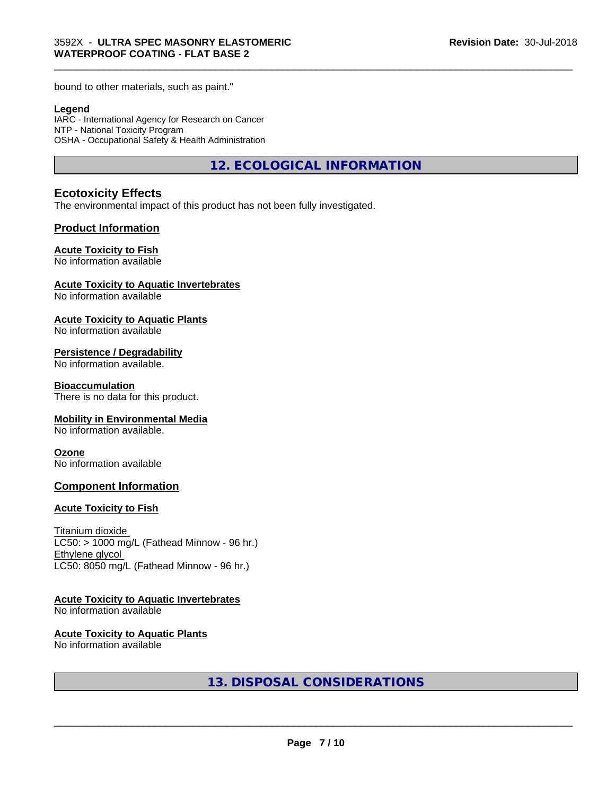bound to other materials, such as paint."

# **Legend**

IARC - International Agency for Research on Cancer NTP - National Toxicity Program OSHA - Occupational Safety & Health Administration

**12. ECOLOGICAL INFORMATION**

\_\_\_\_\_\_\_\_\_\_\_\_\_\_\_\_\_\_\_\_\_\_\_\_\_\_\_\_\_\_\_\_\_\_\_\_\_\_\_\_\_\_\_\_\_\_\_\_\_\_\_\_\_\_\_\_\_\_\_\_\_\_\_\_\_\_\_\_\_\_\_\_\_\_\_\_\_\_\_\_\_\_\_\_\_\_\_\_\_\_\_\_\_

# **Ecotoxicity Effects**

The environmental impact of this product has not been fully investigated.

# **Product Information**

# **Acute Toxicity to Fish**

No information available

# **Acute Toxicity to Aquatic Invertebrates**

No information available

# **Acute Toxicity to Aquatic Plants**

No information available

# **Persistence / Degradability**

No information available.

## **Bioaccumulation**

There is no data for this product.

# **Mobility in Environmental Media**

No information available.

## **Ozone**

No information available

# **Component Information**

# **Acute Toxicity to Fish**

Titanium dioxide  $LC50:$  > 1000 mg/L (Fathead Minnow - 96 hr.) Ethylene glycol LC50: 8050 mg/L (Fathead Minnow - 96 hr.)

# **Acute Toxicity to Aquatic Invertebrates**

No information available

## **Acute Toxicity to Aquatic Plants**

No information available

**13. DISPOSAL CONSIDERATIONS**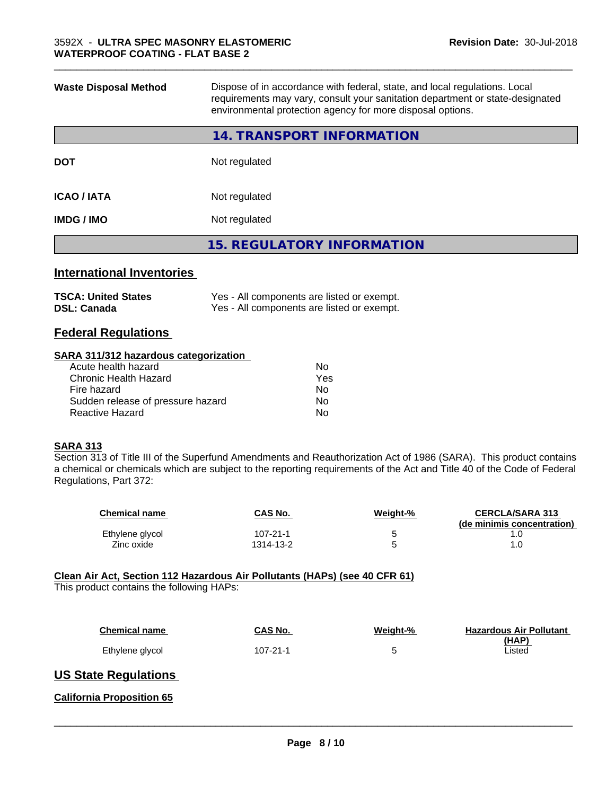| <b>Waste Disposal Method</b> | Dispose of in accordance with federal, state, and local regulations. Local<br>requirements may vary, consult your sanitation department or state-designated<br>environmental protection agency for more disposal options. |
|------------------------------|---------------------------------------------------------------------------------------------------------------------------------------------------------------------------------------------------------------------------|
|                              | 14. TRANSPORT INFORMATION                                                                                                                                                                                                 |
| <b>DOT</b>                   | Not regulated                                                                                                                                                                                                             |
| <b>ICAO / IATA</b>           | Not regulated                                                                                                                                                                                                             |
| <b>IMDG/IMO</b>              | Not regulated                                                                                                                                                                                                             |
|                              | <b>15. REGULATORY INFORMATION</b>                                                                                                                                                                                         |
|                              |                                                                                                                                                                                                                           |

\_\_\_\_\_\_\_\_\_\_\_\_\_\_\_\_\_\_\_\_\_\_\_\_\_\_\_\_\_\_\_\_\_\_\_\_\_\_\_\_\_\_\_\_\_\_\_\_\_\_\_\_\_\_\_\_\_\_\_\_\_\_\_\_\_\_\_\_\_\_\_\_\_\_\_\_\_\_\_\_\_\_\_\_\_\_\_\_\_\_\_\_\_

# **International Inventories**

| <b>TSCA: United States</b> | Yes - All components are listed or exempt. |
|----------------------------|--------------------------------------------|
| <b>DSL: Canada</b>         | Yes - All components are listed or exempt. |

# **Federal Regulations**

## **SARA 311/312 hazardous categorization**

| No. |
|-----|
| Yes |
| No. |
| Nο  |
| N٥  |
|     |

# **SARA 313**

Section 313 of Title III of the Superfund Amendments and Reauthorization Act of 1986 (SARA). This product contains a chemical or chemicals which are subject to the reporting requirements of the Act and Title 40 of the Code of Federal Regulations, Part 372:

| <b>Chemical name</b> | <b>CAS No.</b> | Weight-% | <b>CERCLA/SARA 313</b><br>(de minimis concentration) |
|----------------------|----------------|----------|------------------------------------------------------|
| Ethylene glycol      | $107 - 21 - 1$ |          |                                                      |
| Zinc oxide           | 1314-13-2      |          |                                                      |

# **Clean Air Act,Section 112 Hazardous Air Pollutants (HAPs) (see 40 CFR 61)**

This product contains the following HAPs:

| <b>Chemical name</b> | CAS No.  | Weight-% | <b>Hazardous Air Pollutant</b><br>(HAP) |
|----------------------|----------|----------|-----------------------------------------|
| Ethylene glycol      | 107-21-1 |          | Listed                                  |

# **US State Regulations**

**California Proposition 65**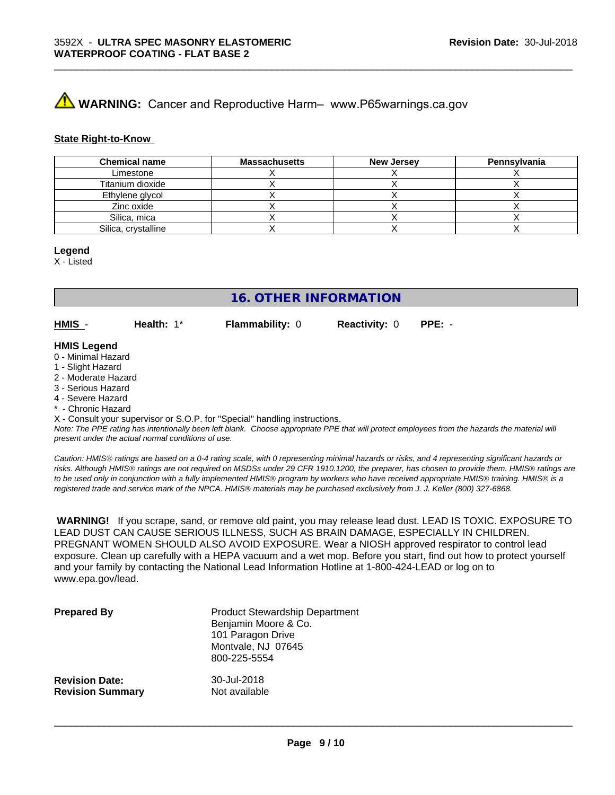# **A WARNING:** Cancer and Reproductive Harm– www.P65warnings.ca.gov

# **State Right-to-Know**

| <b>Chemical name</b> | <b>Massachusetts</b> | <b>New Jersey</b> | Pennsylvania |
|----------------------|----------------------|-------------------|--------------|
| Limestone            |                      |                   |              |
| Titanium dioxide     |                      |                   |              |
| Ethylene glycol      |                      |                   |              |
| Zinc oxide           |                      |                   |              |
| Silica, mica         |                      |                   |              |
| Silica, crystalline  |                      |                   |              |

\_\_\_\_\_\_\_\_\_\_\_\_\_\_\_\_\_\_\_\_\_\_\_\_\_\_\_\_\_\_\_\_\_\_\_\_\_\_\_\_\_\_\_\_\_\_\_\_\_\_\_\_\_\_\_\_\_\_\_\_\_\_\_\_\_\_\_\_\_\_\_\_\_\_\_\_\_\_\_\_\_\_\_\_\_\_\_\_\_\_\_\_\_

# **Legend**

X - Listed

**16. OTHER INFORMATION**

**HMIS** - **Health:** 1\* **Flammability:** 0 **Reactivity:** 0 **PPE:** -

## **HMIS Legend**

- 0 Minimal Hazard
- 1 Slight Hazard
- 2 Moderate Hazard
- 3 Serious Hazard
- 4 Severe Hazard
- Chronic Hazard

X - Consult your supervisor or S.O.P. for "Special" handling instructions.

*Note: The PPE rating has intentionally been left blank. Choose appropriate PPE that will protect employees from the hazards the material will present under the actual normal conditions of use.*

*Caution: HMISÒ ratings are based on a 0-4 rating scale, with 0 representing minimal hazards or risks, and 4 representing significant hazards or risks. Although HMISÒ ratings are not required on MSDSs under 29 CFR 1910.1200, the preparer, has chosen to provide them. HMISÒ ratings are to be used only in conjunction with a fully implemented HMISÒ program by workers who have received appropriate HMISÒ training. HMISÒ is a registered trade and service mark of the NPCA. HMISÒ materials may be purchased exclusively from J. J. Keller (800) 327-6868.*

 **WARNING!** If you scrape, sand, or remove old paint, you may release lead dust. LEAD IS TOXIC. EXPOSURE TO LEAD DUST CAN CAUSE SERIOUS ILLNESS, SUCH AS BRAIN DAMAGE, ESPECIALLY IN CHILDREN. PREGNANT WOMEN SHOULD ALSO AVOID EXPOSURE.Wear a NIOSH approved respirator to control lead exposure. Clean up carefully with a HEPA vacuum and a wet mop. Before you start, find out how to protect yourself and your family by contacting the National Lead Information Hotline at 1-800-424-LEAD or log on to www.epa.gov/lead.

| <b>Prepared By</b>      | <b>Product Stewardship Department</b><br>Benjamin Moore & Co.<br>101 Paragon Drive<br>Montvale, NJ 07645<br>800-225-5554 |
|-------------------------|--------------------------------------------------------------------------------------------------------------------------|
| <b>Revision Date:</b>   | 30-Jul-2018                                                                                                              |
| <b>Revision Summary</b> | Not available                                                                                                            |